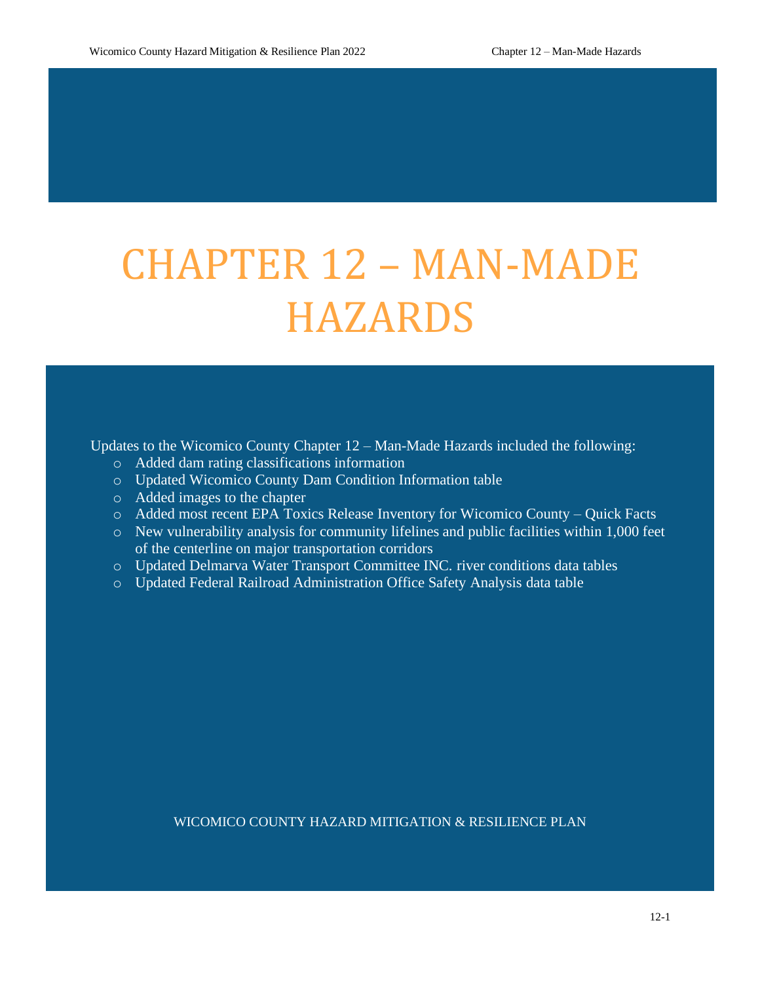# CHAPTER 12 – MAN-MADE HAZARDS

Updates to the Wicomico County Chapter 12 – Man-Made Hazards included the following:

- o Added dam rating classifications information
- o Updated Wicomico County Dam Condition Information table
- o Added images to the chapter
- o Added most recent EPA Toxics Release Inventory for Wicomico County Quick Facts
- o New vulnerability analysis for community lifelines and public facilities within 1,000 feet of the centerline on major transportation corridors
- o Updated Delmarva Water Transport Committee INC. river conditions data tables
- o Updated Federal Railroad Administration Office Safety Analysis data table

#### WICOMICO COUNTY HAZARD MITIGATION & RESILIENCE PLAN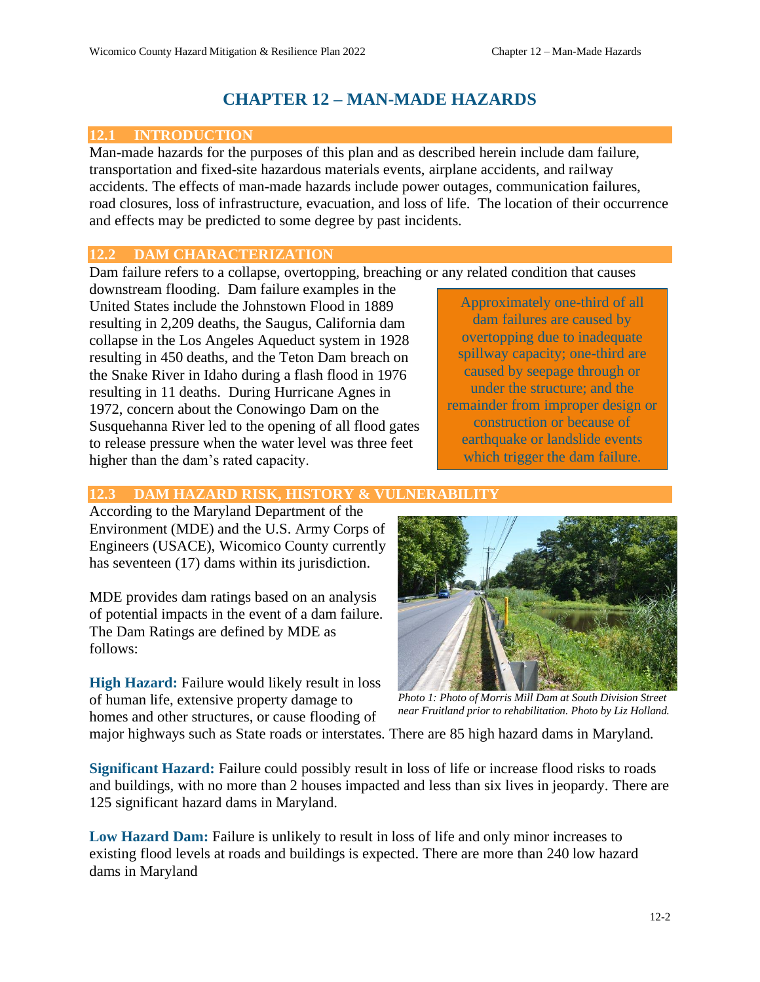# **CHAPTER 12 – MAN-MADE HAZARDS**

# **12.1 INTRODUCTION**

Man-made hazards for the purposes of this plan and as described herein include dam failure, transportation and fixed-site hazardous materials events, airplane accidents, and railway accidents. The effects of man-made hazards include power outages, communication failures, road closures, loss of infrastructure, evacuation, and loss of life. The location of their occurrence and effects may be predicted to some degree by past incidents.

# **12.2 DAM CHARACTERIZATION**

Dam failure refers to a collapse, overtopping, breaching or any related condition that causes

downstream flooding. Dam failure examples in the United States include the Johnstown Flood in 1889 resulting in 2,209 deaths, the Saugus, California dam collapse in the Los Angeles Aqueduct system in 1928 resulting in 450 deaths, and the Teton Dam breach on the Snake River in Idaho during a flash flood in 1976 resulting in 11 deaths. During Hurricane Agnes in 1972, concern about the Conowingo Dam on the Susquehanna River led to the opening of all flood gates to release pressure when the water level was three feet higher than the dam's rated capacity.

Approximately one-third of all dam failures are caused by overtopping due to inadequate spillway capacity; one-third are caused by seepage through or under the structure; and the remainder from improper design or construction or because of earthquake or landslide events which trigger the dam failure.

# **12.3 DAM HAZARD RISK, HISTORY & VULNERABILITY**

According to the Maryland Department of the Environment (MDE) and the U.S. Army Corps of Engineers (USACE), Wicomico County currently has seventeen (17) dams within its jurisdiction.

MDE provides dam ratings based on an analysis of potential impacts in the event of a dam failure. The Dam Ratings are defined by MDE as follows:

**High Hazard:** Failure would likely result in loss of human life, extensive property damage to homes and other structures, or cause flooding of



*Photo 1: Photo of Morris Mill Dam at South Division Street near Fruitland prior to rehabilitation. Photo by Liz Holland.*

major highways such as State roads or interstates. There are 85 high hazard dams in Maryland.

**Significant Hazard:** Failure could possibly result in loss of life or increase flood risks to roads and buildings, with no more than 2 houses impacted and less than six lives in jeopardy. There are 125 significant hazard dams in Maryland.

**Low Hazard Dam:** Failure is unlikely to result in loss of life and only minor increases to existing flood levels at roads and buildings is expected. There are more than 240 low hazard dams in Maryland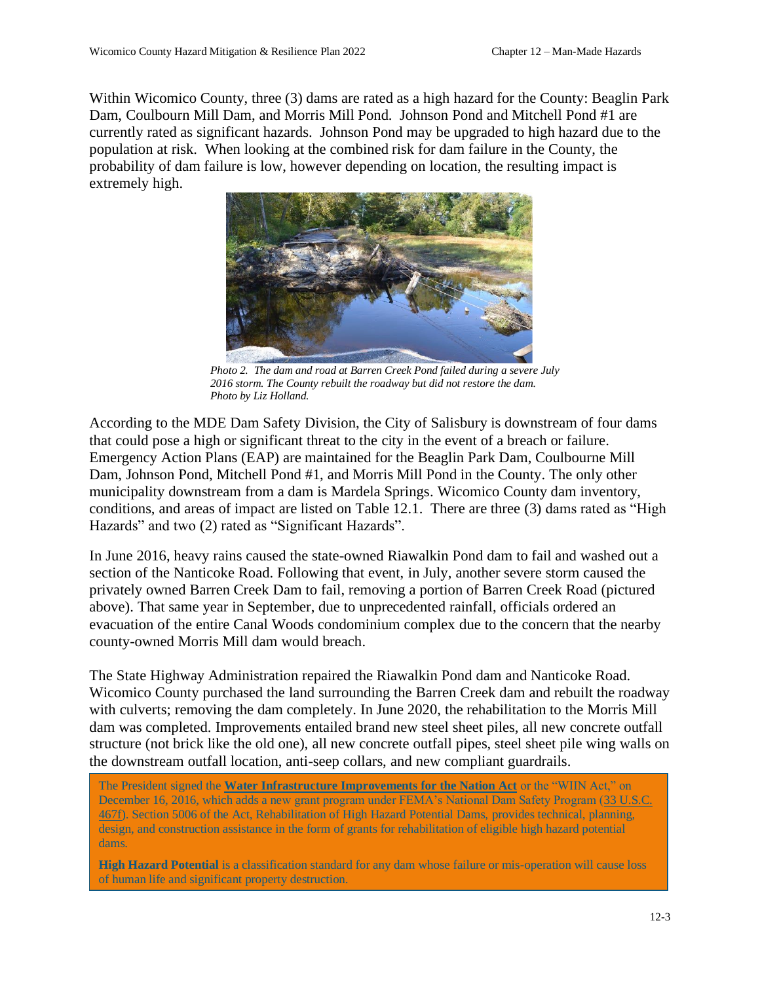Within Wicomico County, three (3) dams are rated as a high hazard for the County: Beaglin Park Dam, Coulbourn Mill Dam, and Morris Mill Pond. Johnson Pond and Mitchell Pond #1 are currently rated as significant hazards. Johnson Pond may be upgraded to high hazard due to the population at risk. When looking at the combined risk for dam failure in the County, the probability of dam failure is low, however depending on location, the resulting impact is extremely high.



*Photo 2. The dam and road at Barren Creek Pond failed during a severe July 2016 storm. The County rebuilt the roadway but did not restore the dam. Photo by Liz Holland.*

According to the MDE Dam Safety Division, the City of Salisbury is downstream of four dams that could pose a high or significant threat to the city in the event of a breach or failure. Emergency Action Plans (EAP) are maintained for the Beaglin Park Dam, Coulbourne Mill Dam, Johnson Pond, Mitchell Pond #1, and Morris Mill Pond in the County. The only other municipality downstream from a dam is Mardela Springs. Wicomico County dam inventory, conditions, and areas of impact are listed on Table 12.1. There are three (3) dams rated as "High Hazards" and two (2) rated as "Significant Hazards".

In June 2016, heavy rains caused the state-owned Riawalkin Pond dam to fail and washed out a section of the Nanticoke Road. Following that event, in July, another severe storm caused the privately owned Barren Creek Dam to fail, removing a portion of Barren Creek Road (pictured above). That same year in September, due to unprecedented rainfall, officials ordered an evacuation of the entire Canal Woods condominium complex due to the concern that the nearby county-owned Morris Mill dam would breach.

The State Highway Administration repaired the Riawalkin Pond dam and Nanticoke Road. Wicomico County purchased the land surrounding the Barren Creek dam and rebuilt the roadway with culverts; removing the dam completely. In June 2020, the rehabilitation to the Morris Mill dam was completed. Improvements entailed brand new steel sheet piles, all new concrete outfall structure (not brick like the old one), all new concrete outfall pipes, steel sheet pile wing walls on the downstream outfall location, anti-seep collars, and new compliant guardrails.

The President signed the **[Water Infrastructure Improvements for the Nation Act](https://www.congress.gov/bill/114th-congress/senate-bill/612/text)** or the "WIIN Act," on December 16, 2016, which adds a new grant program under FEMA's National Dam Safety Program [\(33 U.S.C.](https://uscode.house.gov/view.xhtml?req=(title:33%20section:467f%20edition:prelim))  [467f\)](https://uscode.house.gov/view.xhtml?req=(title:33%20section:467f%20edition:prelim)). Section 5006 of the Act, Rehabilitation of High Hazard Potential Dams, provides technical, planning, design, and construction assistance in the form of grants for rehabilitation of eligible high hazard potential dams.

**High Hazard Potential** is a classification standard for any dam whose failure or mis-operation will cause loss of human life and significant property destruction.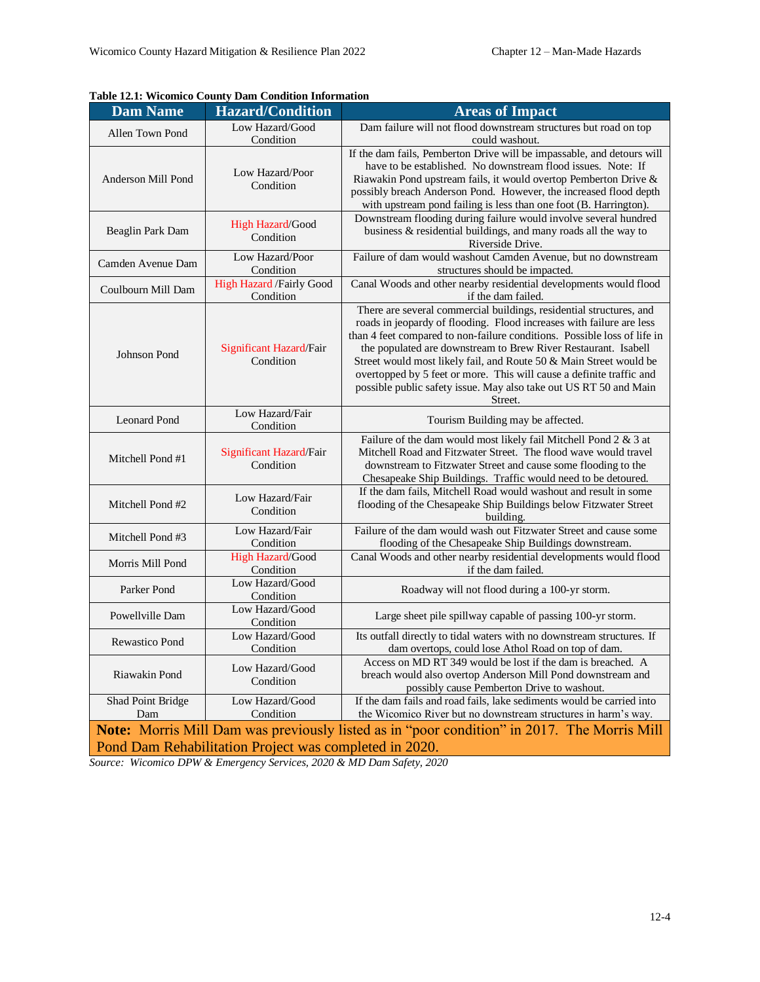|                                                                                                    | Table 12.1. Wittenhed County Dain Continuou Information |                                                                                                                                                                                                                                                                                                                                                                                                                                                                                                                         |  |
|----------------------------------------------------------------------------------------------------|---------------------------------------------------------|-------------------------------------------------------------------------------------------------------------------------------------------------------------------------------------------------------------------------------------------------------------------------------------------------------------------------------------------------------------------------------------------------------------------------------------------------------------------------------------------------------------------------|--|
| <b>Dam Name</b>                                                                                    | <b>Hazard/Condition</b>                                 | <b>Areas of Impact</b>                                                                                                                                                                                                                                                                                                                                                                                                                                                                                                  |  |
| Allen Town Pond                                                                                    | Low Hazard/Good<br>Condition                            | Dam failure will not flood downstream structures but road on top<br>could washout.                                                                                                                                                                                                                                                                                                                                                                                                                                      |  |
| Anderson Mill Pond                                                                                 | Low Hazard/Poor<br>Condition                            | If the dam fails, Pemberton Drive will be impassable, and detours will<br>have to be established. No downstream flood issues. Note: If<br>Riawakin Pond upstream fails, it would overtop Pemberton Drive &<br>possibly breach Anderson Pond. However, the increased flood depth<br>with upstream pond failing is less than one foot (B. Harrington).                                                                                                                                                                    |  |
| Beaglin Park Dam                                                                                   | High Hazard/Good<br>Condition                           | Downstream flooding during failure would involve several hundred<br>business & residential buildings, and many roads all the way to<br>Riverside Drive.                                                                                                                                                                                                                                                                                                                                                                 |  |
| Camden Avenue Dam                                                                                  | Low Hazard/Poor<br>Condition                            | Failure of dam would washout Camden Avenue, but no downstream<br>structures should be impacted.                                                                                                                                                                                                                                                                                                                                                                                                                         |  |
| Coulbourn Mill Dam                                                                                 | <b>High Hazard /Fairly Good</b><br>Condition            | Canal Woods and other nearby residential developments would flood<br>if the dam failed.                                                                                                                                                                                                                                                                                                                                                                                                                                 |  |
| Johnson Pond                                                                                       | Significant Hazard/Fair<br>Condition                    | There are several commercial buildings, residential structures, and<br>roads in jeopardy of flooding. Flood increases with failure are less<br>than 4 feet compared to non-failure conditions. Possible loss of life in<br>the populated are downstream to Brew River Restaurant. Isabell<br>Street would most likely fail, and Route 50 & Main Street would be<br>overtopped by 5 feet or more. This will cause a definite traffic and<br>possible public safety issue. May also take out US RT 50 and Main<br>Street. |  |
| <b>Leonard Pond</b>                                                                                | Low Hazard/Fair<br>Condition                            | Tourism Building may be affected.                                                                                                                                                                                                                                                                                                                                                                                                                                                                                       |  |
| Mitchell Pond #1                                                                                   | Significant Hazard/Fair<br>Condition                    | Failure of the dam would most likely fail Mitchell Pond 2 & 3 at<br>Mitchell Road and Fitzwater Street. The flood wave would travel<br>downstream to Fitzwater Street and cause some flooding to the<br>Chesapeake Ship Buildings. Traffic would need to be detoured.                                                                                                                                                                                                                                                   |  |
| Mitchell Pond #2                                                                                   | Low Hazard/Fair<br>Condition                            | If the dam fails, Mitchell Road would washout and result in some<br>flooding of the Chesapeake Ship Buildings below Fitzwater Street<br>building.                                                                                                                                                                                                                                                                                                                                                                       |  |
| Mitchell Pond #3                                                                                   | Low Hazard/Fair<br>Condition                            | Failure of the dam would wash out Fitzwater Street and cause some<br>flooding of the Chesapeake Ship Buildings downstream.                                                                                                                                                                                                                                                                                                                                                                                              |  |
| Morris Mill Pond                                                                                   | High Hazard/Good<br>Condition                           | Canal Woods and other nearby residential developments would flood<br>if the dam failed.                                                                                                                                                                                                                                                                                                                                                                                                                                 |  |
| Parker Pond                                                                                        | Low Hazard/Good<br>Condition                            | Roadway will not flood during a 100-yr storm.                                                                                                                                                                                                                                                                                                                                                                                                                                                                           |  |
| Powellville Dam                                                                                    | Low Hazard/Good<br>Condition                            | Large sheet pile spillway capable of passing 100-yr storm.                                                                                                                                                                                                                                                                                                                                                                                                                                                              |  |
| <b>Rewastico Pond</b>                                                                              | Low Hazard/Good<br>Condition                            | Its outfall directly to tidal waters with no downstream structures. If<br>dam overtops, could lose Athol Road on top of dam.                                                                                                                                                                                                                                                                                                                                                                                            |  |
| Riawakin Pond                                                                                      | Low Hazard/Good<br>Condition                            | Access on MD RT 349 would be lost if the dam is breached. A<br>breach would also overtop Anderson Mill Pond downstream and<br>possibly cause Pemberton Drive to washout.                                                                                                                                                                                                                                                                                                                                                |  |
| Shad Point Bridge<br>Dam                                                                           | Low Hazard/Good<br>Condition                            | If the dam fails and road fails, lake sediments would be carried into<br>the Wicomico River but no downstream structures in harm's way.                                                                                                                                                                                                                                                                                                                                                                                 |  |
| <b>Note:</b> Morris Mill Dam was previously listed as in "poor condition" in 2017. The Morris Mill |                                                         |                                                                                                                                                                                                                                                                                                                                                                                                                                                                                                                         |  |
|                                                                                                    | Pond Dam Rehabilitation Project was completed in 2020.  |                                                                                                                                                                                                                                                                                                                                                                                                                                                                                                                         |  |

# **Table 12.1: Wicomico County Dam Condition Information**

*Source: Wicomico DPW & Emergency Services, 2020 & MD Dam Safety, 2020*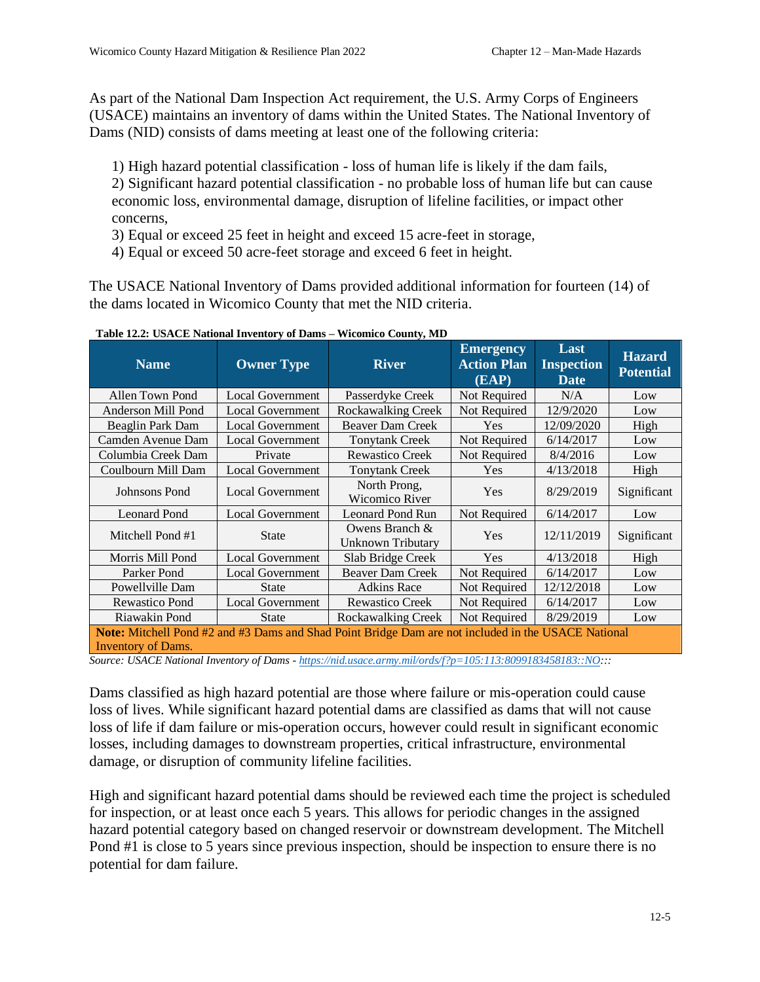As part of the National Dam Inspection Act requirement, the U.S. Army Corps of Engineers (USACE) maintains an inventory of dams within the United States. The National Inventory of Dams (NID) consists of dams meeting at least one of the following criteria:

1) High hazard potential classification - loss of human life is likely if the dam fails, 2) Significant hazard potential classification - no probable loss of human life but can cause economic loss, environmental damage, disruption of lifeline facilities, or impact other concerns,

- 3) Equal or exceed 25 feet in height and exceed 15 acre-feet in storage,
- 4) Equal or exceed 50 acre-feet storage and exceed 6 feet in height.

The USACE National Inventory of Dams provided additional information for fourteen (14) of the dams located in Wicomico County that met the NID criteria.

| <b>Name</b>                                                                                                                             | <b>Owner Type</b>       | <b>River</b>                               | <b>Emergency</b><br><b>Action Plan</b><br>(EAP) | Last<br><b>Inspection</b><br><b>Date</b> | <b>Hazard</b><br><b>Potential</b> |  |
|-----------------------------------------------------------------------------------------------------------------------------------------|-------------------------|--------------------------------------------|-------------------------------------------------|------------------------------------------|-----------------------------------|--|
| Allen Town Pond                                                                                                                         | <b>Local Government</b> | Passerdyke Creek                           | Not Required                                    | N/A                                      | Low                               |  |
| Anderson Mill Pond                                                                                                                      | <b>Local Government</b> | <b>Rockawalking Creek</b>                  | Not Required                                    | 12/9/2020                                | Low                               |  |
| Beaglin Park Dam                                                                                                                        | <b>Local Government</b> | Beaver Dam Creek                           | Yes                                             | 12/09/2020                               | High                              |  |
| Camden Avenue Dam                                                                                                                       | <b>Local Government</b> | <b>Tonytank Creek</b>                      | Not Required                                    | 6/14/2017                                | Low                               |  |
| Columbia Creek Dam                                                                                                                      | Private                 | <b>Rewastico Creek</b>                     | Not Required                                    | 8/4/2016                                 | Low                               |  |
| Coulbourn Mill Dam                                                                                                                      | <b>Local Government</b> | <b>Tonytank Creek</b>                      | Yes                                             | 4/13/2018                                | High                              |  |
| Johnsons Pond                                                                                                                           | <b>Local Government</b> |                                            | Yes                                             | 8/29/2019                                | Significant                       |  |
| <b>Leonard Pond</b>                                                                                                                     | <b>Local Government</b> | <b>Leonard Pond Run</b>                    | Not Required                                    | 6/14/2017                                | Low                               |  |
| Mitchell Pond #1                                                                                                                        | <b>State</b>            | Owens Branch &<br><b>Unknown Tributary</b> | Yes                                             | 12/11/2019                               | Significant                       |  |
| Morris Mill Pond                                                                                                                        | <b>Local Government</b> | Slab Bridge Creek                          | Yes                                             | 4/13/2018                                | High                              |  |
| Parker Pond                                                                                                                             | <b>Local Government</b> | Beaver Dam Creek                           | Not Required                                    | 6/14/2017                                | Low                               |  |
| Powellville Dam                                                                                                                         | <b>State</b>            | <b>Adkins Race</b>                         | Not Required                                    | 12/12/2018                               | Low                               |  |
| Rewastico Pond                                                                                                                          | <b>Local Government</b> | <b>Rewastico Creek</b>                     | Not Required                                    | 6/14/2017                                | Low                               |  |
| Riawakin Pond                                                                                                                           | <b>State</b>            | Rockawalking Creek                         | Not Required                                    | 8/29/2019                                | Low                               |  |
| <b>Note:</b> Mitchell Pond #2 and #3 Dams and Shad Point Bridge Dam are not included in the USACE National<br><b>Inventory of Dams.</b> |                         |                                            |                                                 |                                          |                                   |  |

**Table 12.2: USACE National Inventory of Dams – Wicomico County, MD**

*Source: USACE National Inventory of Dams - [https://nid.usace.army.mil/ords/f?p=105:113:8099183458183::NO:](https://nid.usace.army.mil/ords/f?p=105:113:8099183458183::NO)::*

Dams classified as high hazard potential are those where failure or mis-operation could cause loss of lives. While significant hazard potential dams are classified as dams that will not cause loss of life if dam failure or mis-operation occurs, however could result in significant economic losses, including damages to downstream properties, critical infrastructure, environmental damage, or disruption of community lifeline facilities.

High and significant hazard potential dams should be reviewed each time the project is scheduled for inspection, or at least once each 5 years. This allows for periodic changes in the assigned hazard potential category based on changed reservoir or downstream development. The Mitchell Pond #1 is close to 5 years since previous inspection, should be inspection to ensure there is no potential for dam failure.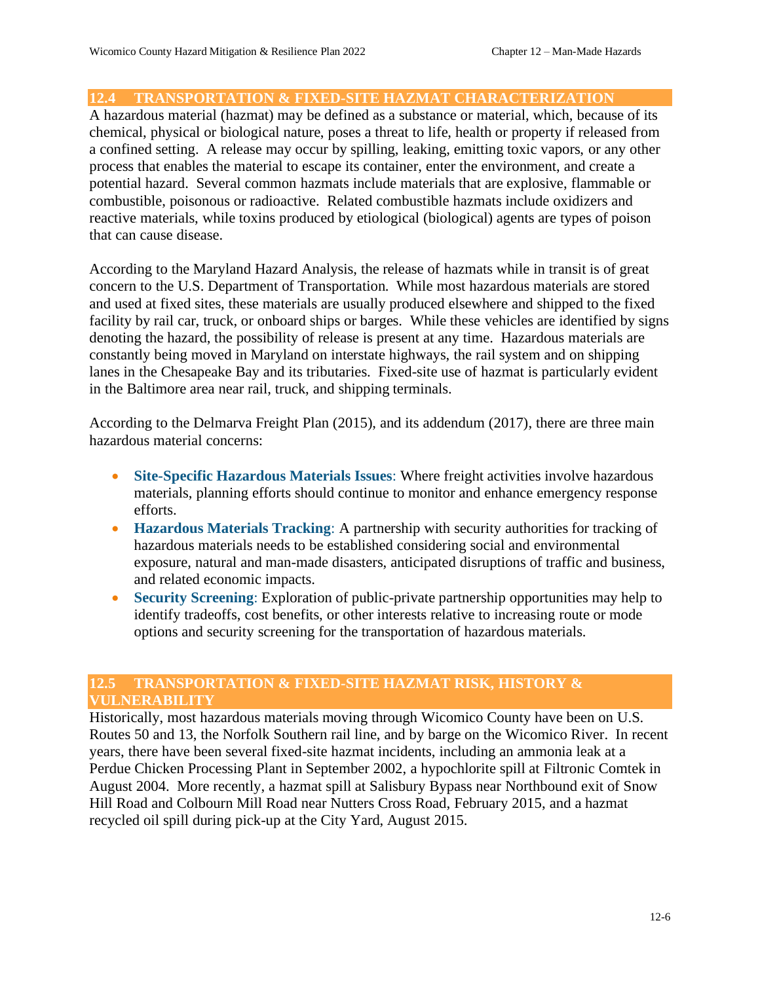# **12.4 TRANSPORTATION & FIXED-SITE HAZMAT CHARACTERIZATION**

A hazardous material (hazmat) may be defined as a substance or material, which, because of its chemical, physical or biological nature, poses a threat to life, health or property if released from a confined setting. A release may occur by spilling, leaking, emitting toxic vapors, or any other process that enables the material to escape its container, enter the environment, and create a potential hazard. Several common hazmats include materials that are explosive, flammable or combustible, poisonous or radioactive. Related combustible hazmats include oxidizers and reactive materials, while toxins produced by etiological (biological) agents are types of poison that can cause disease.

According to the Maryland Hazard Analysis, the release of hazmats while in transit is of great concern to the U.S. Department of Transportation. While most hazardous materials are stored and used at fixed sites, these materials are usually produced elsewhere and shipped to the fixed facility by rail car, truck, or onboard ships or barges. While these vehicles are identified by signs denoting the hazard, the possibility of release is present at any time. Hazardous materials are constantly being moved in Maryland on interstate highways, the rail system and on shipping lanes in the Chesapeake Bay and its tributaries. Fixed-site use of hazmat is particularly evident in the Baltimore area near rail, truck, and shipping terminals.

According to the Delmarva Freight Plan (2015), and its addendum (2017), there are three main hazardous material concerns:

- **Site-Specific Hazardous Materials Issues**: Where freight activities involve hazardous materials, planning efforts should continue to monitor and enhance emergency response efforts.
- **Hazardous Materials Tracking**: A partnership with security authorities for tracking of hazardous materials needs to be established considering social and environmental exposure, natural and man-made disasters, anticipated disruptions of traffic and business, and related economic impacts.
- **Security Screening**: Exploration of public-private partnership opportunities may help to identify tradeoffs, cost benefits, or other interests relative to increasing route or mode options and security screening for the transportation of hazardous materials.

# **12.5 TRANSPORTATION & FIXED-SITE HAZMAT RISK, HISTORY & VULNERABILITY**

Historically, most hazardous materials moving through Wicomico County have been on U.S. Routes 50 and 13, the Norfolk Southern rail line, and by barge on the Wicomico River. In recent years, there have been several fixed-site hazmat incidents, including an ammonia leak at a Perdue Chicken Processing Plant in September 2002, a hypochlorite spill at Filtronic Comtek in August 2004. More recently, a hazmat spill at Salisbury Bypass near Northbound exit of Snow Hill Road and Colbourn Mill Road near Nutters Cross Road, February 2015, and a hazmat recycled oil spill during pick-up at the City Yard, August 2015.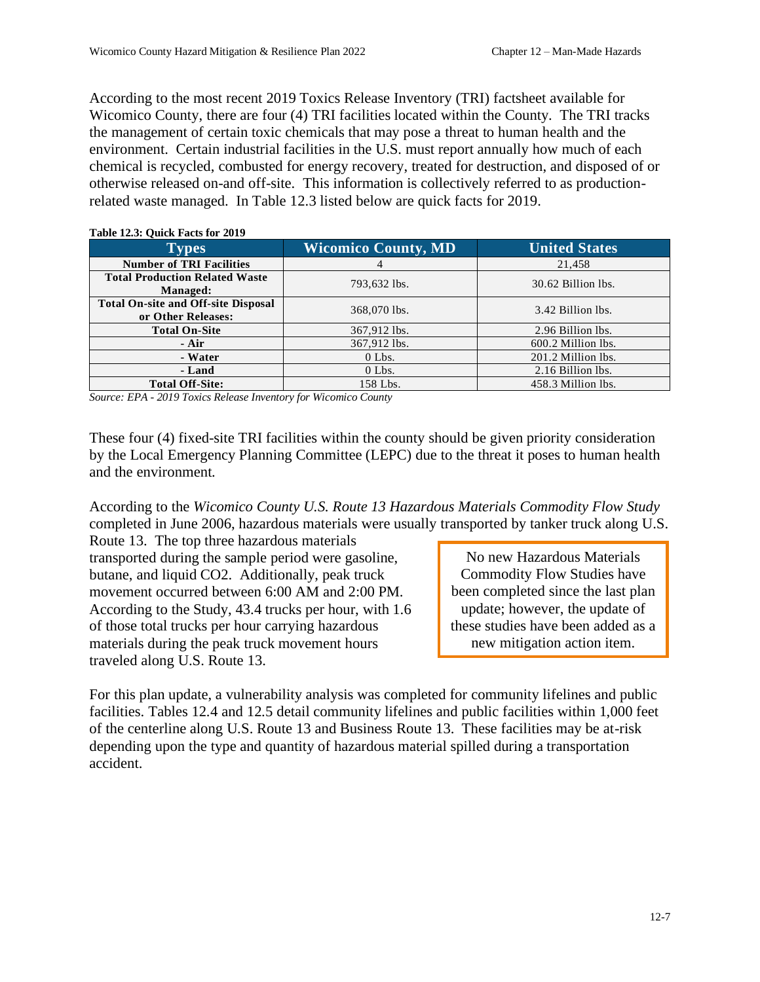According to the most recent 2019 Toxics Release Inventory (TRI) factsheet available for Wicomico County, there are four (4) TRI facilities located within the County. The TRI tracks the management of certain toxic chemicals that may pose a threat to human health and the environment. Certain industrial facilities in the U.S. must report annually how much of each chemical is recycled, combusted for energy recovery, treated for destruction, and disposed of or otherwise released on-and off-site. This information is collectively referred to as productionrelated waste managed. In Table 12.3 listed below are quick facts for 2019.

| $1400 \text{ C}$ $1400 \text{ C}$ $1400 \text{ C}$               |                            |                      |  |
|------------------------------------------------------------------|----------------------------|----------------------|--|
| <b>Types</b>                                                     | <b>Wicomico County, MD</b> | <b>United States</b> |  |
| <b>Number of TRI Facilities</b>                                  | 4                          | 21,458               |  |
| <b>Total Production Related Waste</b><br>Managed:                | 793,632 lbs.               | 30.62 Billion lbs.   |  |
| <b>Total On-site and Off-site Disposal</b><br>or Other Releases: | 368,070 lbs.               | 3.42 Billion lbs.    |  |
| <b>Total On-Site</b>                                             | 367,912 lbs.               | 2.96 Billion lbs.    |  |
| - Air                                                            | 367,912 lbs.               | 600.2 Million lbs.   |  |
| - Water                                                          | $0$ Lbs.                   | 201.2 Million lbs.   |  |
| - Land                                                           | $0$ Lbs.                   | 2.16 Billion lbs.    |  |
| <b>Total Off-Site:</b>                                           | 158 Lbs.                   | 458.3 Million lbs.   |  |

#### **Table 12.3: Quick Facts for 2019**

*Source: EPA - 2019 Toxics Release Inventory for Wicomico County*

These four (4) fixed-site TRI facilities within the county should be given priority consideration by the Local Emergency Planning Committee (LEPC) due to the threat it poses to human health and the environment.

According to the *Wicomico County U.S. Route 13 Hazardous Materials Commodity Flow Study* completed in June 2006, hazardous materials were usually transported by tanker truck along U.S.

Route 13. The top three hazardous materials transported during the sample period were gasoline, butane, and liquid CO2. Additionally, peak truck movement occurred between 6:00 AM and 2:00 PM. According to the Study, 43.4 trucks per hour, with 1.6 of those total trucks per hour carrying hazardous materials during the peak truck movement hours traveled along U.S. Route 13.

No new Hazardous Materials Commodity Flow Studies have been completed since the last plan update; however, the update of these studies have been added as a new mitigation action item.

For this plan update, a vulnerability analysis was completed for community lifelines and public facilities. Tables 12.4 and 12.5 detail community lifelines and public facilities within 1,000 feet of the centerline along U.S. Route 13 and Business Route 13. These facilities may be at-risk depending upon the type and quantity of hazardous material spilled during a transportation accident.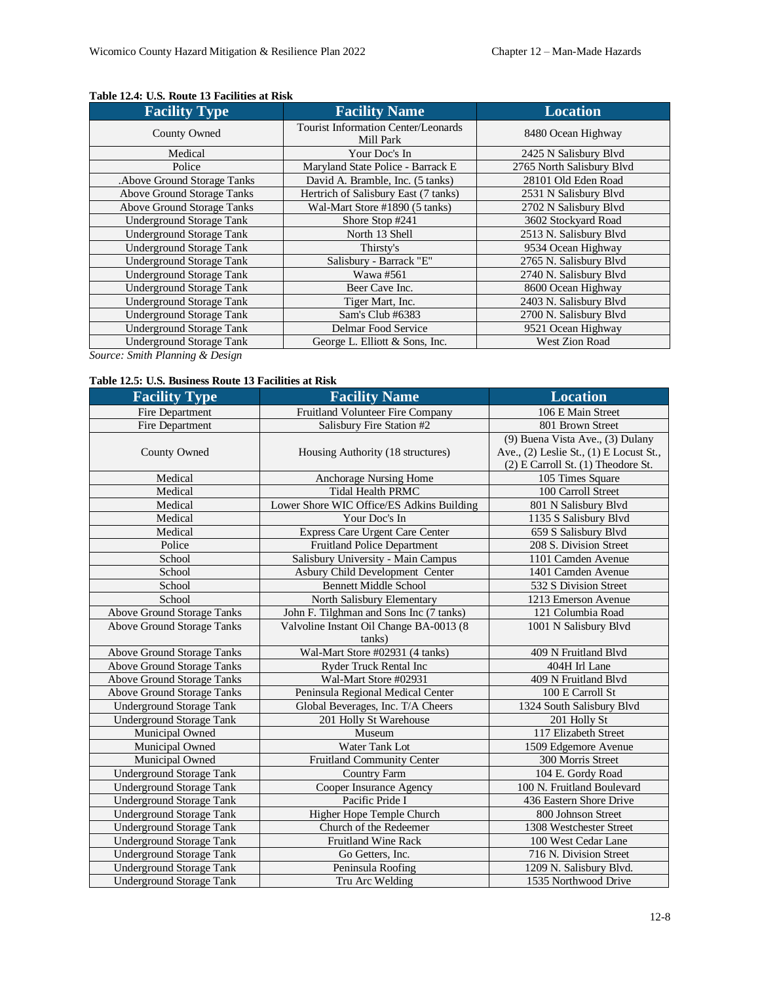| <b>Facility Type</b>            | <b>Facility Name</b>                                    | <b>Location</b>           |
|---------------------------------|---------------------------------------------------------|---------------------------|
| <b>County Owned</b>             | Tourist Information Center/Leonards<br>Mill Park        | 8480 Ocean Highway        |
| Medical                         | Your Doc's In                                           | 2425 N Salisbury Blvd     |
| Police                          | Maryland State Police - Barrack E                       | 2765 North Salisbury Blvd |
| . Above Ground Storage Tanks    | David A. Bramble, Inc. (5 tanks)                        | 28101 Old Eden Road       |
| Above Ground Storage Tanks      | Hertrich of Salisbury East (7 tanks)                    | 2531 N Salisbury Blvd     |
| Above Ground Storage Tanks      | Wal-Mart Store #1890 (5 tanks)                          | 2702 N Salisbury Blvd     |
| <b>Underground Storage Tank</b> | 3602 Stockyard Road<br>Shore Stop #241                  |                           |
| <b>Underground Storage Tank</b> | North 13 Shell                                          | 2513 N. Salisbury Blvd    |
| <b>Underground Storage Tank</b> | Thirsty's                                               | 9534 Ocean Highway        |
| <b>Underground Storage Tank</b> | Salisbury - Barrack "E"                                 | 2765 N. Salisbury Blvd    |
| <b>Underground Storage Tank</b> | Wawa #561                                               | 2740 N. Salisbury Blvd    |
| <b>Underground Storage Tank</b> | Beer Cave Inc.                                          | 8600 Ocean Highway        |
| <b>Underground Storage Tank</b> | Tiger Mart, Inc.                                        | 2403 N. Salisbury Blvd    |
| <b>Underground Storage Tank</b> | Sam's Club #6383                                        | 2700 N. Salisbury Blvd    |
| <b>Underground Storage Tank</b> | Delmar Food Service                                     | 9521 Ocean Highway        |
| <b>Underground Storage Tank</b> | <b>West Zion Road</b><br>George L. Elliott & Sons, Inc. |                           |

#### **Table 12.4: U.S. Route 13 Facilities at Risk**

*Source: Smith Planning & Design*

#### **Table 12.5: U.S. Business Route 13 Facilities at Risk**

| <b>Facility Type</b>              | <b>Facility Name</b>                                           | <b>Location</b>                         |
|-----------------------------------|----------------------------------------------------------------|-----------------------------------------|
| Fire Department                   | Fruitland Volunteer Fire Company                               | 106 E Main Street                       |
| Fire Department                   | Salisbury Fire Station #2                                      | 801 Brown Street                        |
|                                   |                                                                | (9) Buena Vista Ave., (3) Dulany        |
| County Owned                      | Housing Authority (18 structures)                              | Ave., (2) Leslie St., (1) E Locust St., |
|                                   |                                                                | $(2)$ E Carroll St. $(1)$ Theodore St.  |
| Medical                           | Anchorage Nursing Home                                         | 105 Times Square                        |
| Medical                           | <b>Tidal Health PRMC</b>                                       | 100 Carroll Street                      |
| Medical                           | Lower Shore WIC Office/ES Adkins Building                      | 801 N Salisbury Blvd                    |
| Medical                           | Your Doc's In                                                  | 1135 S Salisbury Blvd                   |
| Medical                           | Express Care Urgent Care Center                                | 659 S Salisbury Blvd                    |
| Police                            | <b>Fruitland Police Department</b>                             | 208 S. Division Street                  |
| School                            | Salisbury University - Main Campus                             | 1101 Camden Avenue                      |
| School                            | Asbury Child Development Center                                | 1401 Camden Avenue                      |
| School                            | <b>Bennett Middle School</b>                                   | 532 S Division Street                   |
| School                            | North Salisbury Elementary                                     | 1213 Emerson Avenue                     |
| <b>Above Ground Storage Tanks</b> | John F. Tilghman and Sons Inc (7 tanks)                        | 121 Columbia Road                       |
| <b>Above Ground Storage Tanks</b> | Valvoline Instant Oil Change BA-0013 (8                        | 1001 N Salisbury Blvd                   |
|                                   | tanks)                                                         |                                         |
| <b>Above Ground Storage Tanks</b> | Wal-Mart Store #02931 (4 tanks)                                | 409 N Fruitland Blvd                    |
| <b>Above Ground Storage Tanks</b> | Ryder Truck Rental Inc                                         | 404H Irl Lane                           |
| <b>Above Ground Storage Tanks</b> | Wal-Mart Store #02931                                          | 409 N Fruitland Blvd                    |
| <b>Above Ground Storage Tanks</b> | Peninsula Regional Medical Center                              | 100 E Carroll St                        |
| <b>Underground Storage Tank</b>   | Global Beverages, Inc. T/A Cheers<br>1324 South Salisbury Blvd |                                         |
| <b>Underground Storage Tank</b>   | 201 Holly St Warehouse                                         | 201 Holly St                            |
| Municipal Owned                   | Museum                                                         | 117 Elizabeth Street                    |
| Municipal Owned                   | Water Tank Lot                                                 | 1509 Edgemore Avenue                    |
| Municipal Owned                   | <b>Fruitland Community Center</b>                              | 300 Morris Street                       |
| <b>Underground Storage Tank</b>   | <b>Country Farm</b>                                            | 104 E. Gordy Road                       |
| <b>Underground Storage Tank</b>   | Cooper Insurance Agency                                        | 100 N. Fruitland Boulevard              |
| <b>Underground Storage Tank</b>   | Pacific Pride I                                                | 436 Eastern Shore Drive                 |
| <b>Underground Storage Tank</b>   | Higher Hope Temple Church                                      | 800 Johnson Street                      |
| <b>Underground Storage Tank</b>   | Church of the Redeemer                                         | 1308 Westchester Street                 |
| <b>Underground Storage Tank</b>   | <b>Fruitland Wine Rack</b>                                     | 100 West Cedar Lane                     |
| <b>Underground Storage Tank</b>   | Go Getters, Inc.                                               | 716 N. Division Street                  |
| <b>Underground Storage Tank</b>   | Peninsula Roofing                                              | 1209 N. Salisbury Blvd.                 |
| <b>Underground Storage Tank</b>   | Tru Arc Welding                                                | 1535 Northwood Drive                    |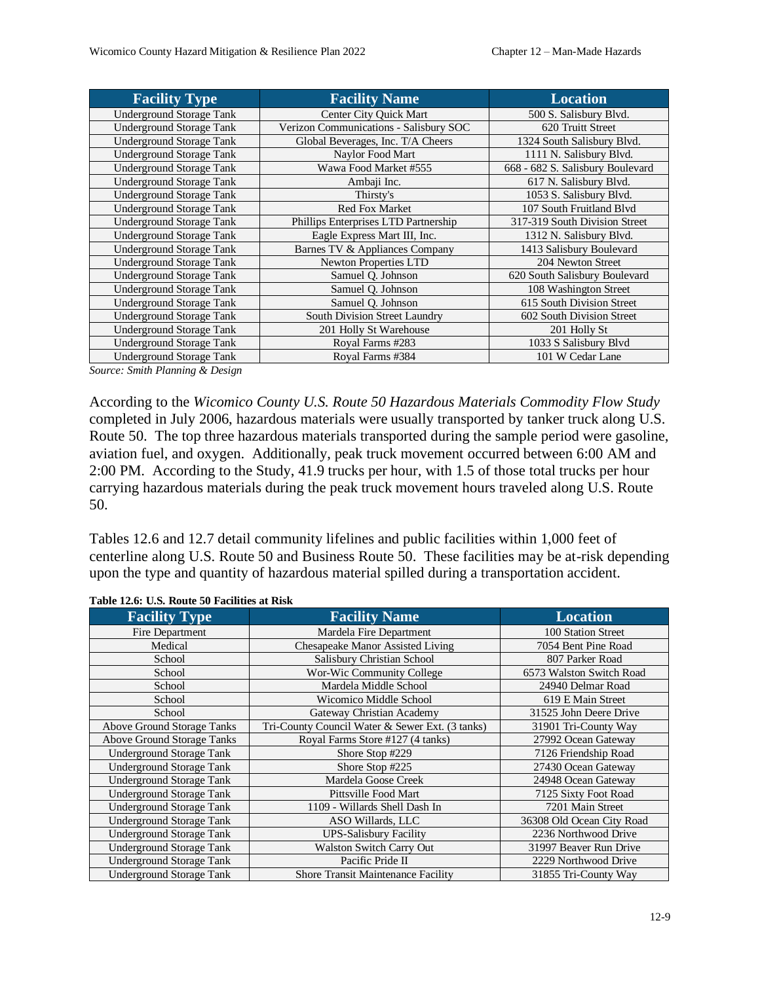| <b>Facility Type</b>            | <b>Facility Name</b>                   | <b>Location</b>                  |
|---------------------------------|----------------------------------------|----------------------------------|
| <b>Underground Storage Tank</b> | Center City Ouick Mart                 | 500 S. Salisbury Blvd.           |
| <b>Underground Storage Tank</b> | Verizon Communications - Salisbury SOC | 620 Truitt Street                |
| <b>Underground Storage Tank</b> | Global Beverages, Inc. T/A Cheers      | 1324 South Salisbury Blvd.       |
| <b>Underground Storage Tank</b> | Naylor Food Mart                       | 1111 N. Salisbury Blvd.          |
| Underground Storage Tank        | Wawa Food Market #555                  | 668 - 682 S. Salisbury Boulevard |
| <b>Underground Storage Tank</b> | Ambaji Inc.                            | 617 N. Salisbury Blvd.           |
| <b>Underground Storage Tank</b> | Thirsty's                              | 1053 S. Salisbury Blvd.          |
| Underground Storage Tank        | <b>Red Fox Market</b>                  | 107 South Fruitland Blvd         |
| <b>Underground Storage Tank</b> | Phillips Enterprises LTD Partnership   | 317-319 South Division Street    |
| <b>Underground Storage Tank</b> | Eagle Express Mart III, Inc.           | 1312 N. Salisbury Blvd.          |
| <b>Underground Storage Tank</b> | Barnes TV & Appliances Company         | 1413 Salisbury Boulevard         |
| <b>Underground Storage Tank</b> | <b>Newton Properties LTD</b>           | 204 Newton Street                |
| <b>Underground Storage Tank</b> | Samuel Q. Johnson                      | 620 South Salisbury Boulevard    |
| <b>Underground Storage Tank</b> | Samuel Q. Johnson                      | 108 Washington Street            |
| Underground Storage Tank        | Samuel Q. Johnson                      | 615 South Division Street        |
| <b>Underground Storage Tank</b> | South Division Street Laundry          | 602 South Division Street        |
| <b>Underground Storage Tank</b> | 201 Holly St Warehouse                 | 201 Holly St                     |
| <b>Underground Storage Tank</b> | Royal Farms #283                       | 1033 S Salisbury Blvd            |
| <b>Underground Storage Tank</b> | Royal Farms #384                       | 101 W Cedar Lane                 |

*Source: Smith Planning & Design*

According to the *Wicomico County U.S. Route 50 Hazardous Materials Commodity Flow Study* completed in July 2006, hazardous materials were usually transported by tanker truck along U.S. Route 50. The top three hazardous materials transported during the sample period were gasoline, aviation fuel, and oxygen. Additionally, peak truck movement occurred between 6:00 AM and 2:00 PM. According to the Study, 41.9 trucks per hour, with 1.5 of those total trucks per hour carrying hazardous materials during the peak truck movement hours traveled along U.S. Route 50.

Tables 12.6 and 12.7 detail community lifelines and public facilities within 1,000 feet of centerline along U.S. Route 50 and Business Route 50. These facilities may be at-risk depending upon the type and quantity of hazardous material spilled during a transportation accident.

| <b>Facility Type</b>              | <b>Facility Name</b>                            | <b>Location</b>           |
|-----------------------------------|-------------------------------------------------|---------------------------|
| Fire Department                   | Mardela Fire Department                         | 100 Station Street        |
| Medical                           | Chesapeake Manor Assisted Living                | 7054 Bent Pine Road       |
| School                            | Salisbury Christian School                      | 807 Parker Road           |
| School                            | Wor-Wic Community College                       | 6573 Walston Switch Road  |
| School                            | Mardela Middle School                           | 24940 Delmar Road         |
| School                            | Wicomico Middle School                          | 619 E Main Street         |
| School                            | Gateway Christian Academy                       | 31525 John Deere Drive    |
| Above Ground Storage Tanks        | Tri-County Council Water & Sewer Ext. (3 tanks) | 31901 Tri-County Way      |
| <b>Above Ground Storage Tanks</b> | Royal Farms Store #127 (4 tanks)                | 27992 Ocean Gateway       |
| <b>Underground Storage Tank</b>   | Shore Stop #229                                 | 7126 Friendship Road      |
| <b>Underground Storage Tank</b>   | Shore Stop #225                                 | 27430 Ocean Gateway       |
| <b>Underground Storage Tank</b>   | Mardela Goose Creek                             | 24948 Ocean Gateway       |
| <b>Underground Storage Tank</b>   | Pittsville Food Mart                            | 7125 Sixty Foot Road      |
| <b>Underground Storage Tank</b>   | 1109 - Willards Shell Dash In                   | 7201 Main Street          |
| <b>Underground Storage Tank</b>   | ASO Willards, LLC                               | 36308 Old Ocean City Road |
| <b>Underground Storage Tank</b>   | <b>UPS-Salisbury Facility</b>                   | 2236 Northwood Drive      |
| <b>Underground Storage Tank</b>   | <b>Walston Switch Carry Out</b>                 | 31997 Beaver Run Drive    |
| <b>Underground Storage Tank</b>   | Pacific Pride II                                | 2229 Northwood Drive      |
| <b>Underground Storage Tank</b>   | <b>Shore Transit Maintenance Facility</b>       | 31855 Tri-County Way      |

**Table 12.6: U.S. Route 50 Facilities at Risk**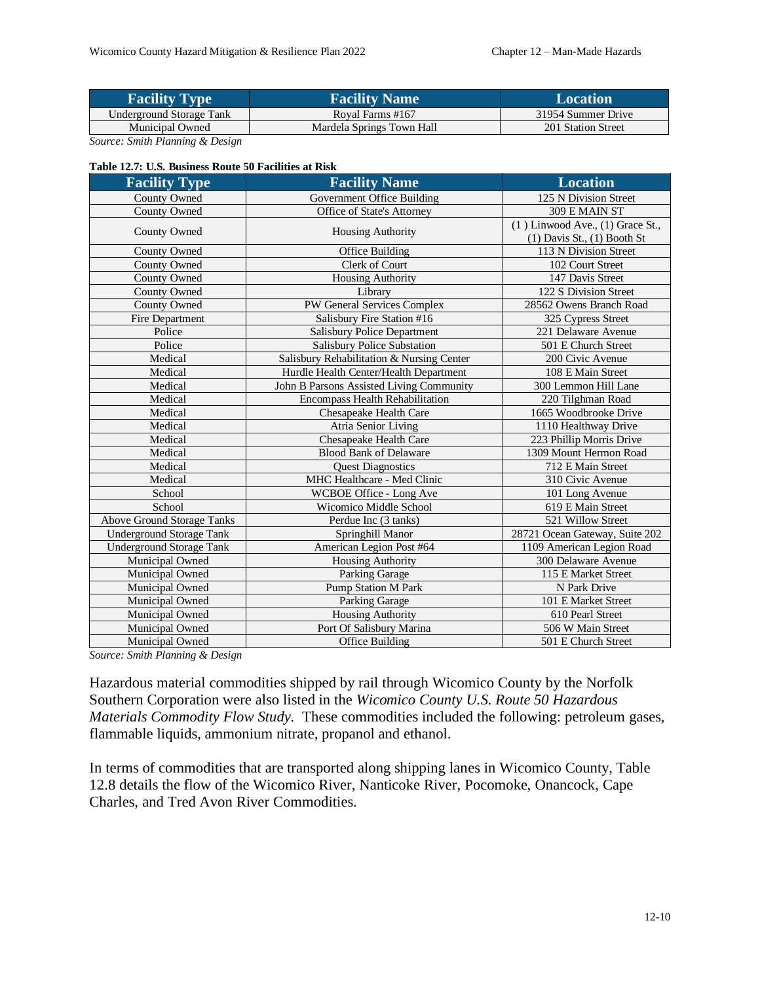| <b>Facility Type</b>     | <b>Facility Name</b>      | Location           |
|--------------------------|---------------------------|--------------------|
| Underground Storage Tank | Roval Farms #167          | 31954 Summer Drive |
| <b>Municipal Owned</b>   | Mardela Springs Town Hall | 201 Station Street |

*Source: Smith Planning & Design*

#### **Table 12.7: U.S. Business Route 50 Facilities at Risk**

| <b>Facility Type</b>              | <b>Facility Name</b>                      | <b>Location</b>                                                         |
|-----------------------------------|-------------------------------------------|-------------------------------------------------------------------------|
| <b>County Owned</b>               | Government Office Building                | 125 N Division Street                                                   |
| County Owned                      | Office of State's Attorney                | 309 E MAIN ST                                                           |
| County Owned                      | <b>Housing Authority</b>                  | $(1)$ Linwood Ave., $(1)$ Grace St.,<br>$(1)$ Davis St., $(1)$ Booth St |
| County Owned                      | Office Building                           | 113 N Division Street                                                   |
| County Owned                      | Clerk of Court                            | 102 Court Street                                                        |
| County Owned                      | <b>Housing Authority</b>                  | 147 Davis Street                                                        |
| County Owned                      | Library                                   | 122 S Division Street                                                   |
| County Owned                      | PW General Services Complex               | 28562 Owens Branch Road                                                 |
| Fire Department                   | Salisbury Fire Station #16                | 325 Cypress Street                                                      |
| Police                            | <b>Salisbury Police Department</b>        | 221 Delaware Avenue                                                     |
| Police                            | <b>Salisbury Police Substation</b>        | 501 E Church Street                                                     |
| Medical                           | Salisbury Rehabilitation & Nursing Center | 200 Civic Avenue                                                        |
| Medical                           | Hurdle Health Center/Health Department    | 108 E Main Street                                                       |
| Medical                           | John B Parsons Assisted Living Community  | 300 Lemmon Hill Lane                                                    |
| Medical                           | <b>Encompass Health Rehabilitation</b>    | 220 Tilghman Road                                                       |
| Medical                           | Chesapeake Health Care                    | 1665 Woodbrooke Drive                                                   |
| Medical                           | Atria Senior Living                       | 1110 Healthway Drive                                                    |
| Medical                           | Chesapeake Health Care                    | 223 Phillip Morris Drive                                                |
| Medical                           | <b>Blood Bank of Delaware</b>             | 1309 Mount Hermon Road                                                  |
| Medical                           | <b>Quest Diagnostics</b>                  | 712 E Main Street                                                       |
| Medical                           | MHC Healthcare - Med Clinic               | 310 Civic Avenue                                                        |
| School                            | WCBOE Office - Long Ave                   | 101 Long Avenue                                                         |
| School                            | Wicomico Middle School                    | 619 E Main Street                                                       |
| <b>Above Ground Storage Tanks</b> | Perdue Inc (3 tanks)                      | 521 Willow Street                                                       |
| <b>Underground Storage Tank</b>   | Springhill Manor                          | 28721 Ocean Gateway, Suite 202                                          |
| <b>Underground Storage Tank</b>   | American Legion Post #64                  | 1109 American Legion Road                                               |
| Municipal Owned                   | <b>Housing Authority</b>                  | 300 Delaware Avenue                                                     |
| Municipal Owned                   | <b>Parking Garage</b>                     | 115 E Market Street                                                     |
| Municipal Owned                   | Pump Station M Park                       | N Park Drive                                                            |
| Municipal Owned                   | Parking Garage                            | 101 E Market Street                                                     |
| Municipal Owned                   | <b>Housing Authority</b>                  | 610 Pearl Street                                                        |
| Municipal Owned                   | Port Of Salisbury Marina                  | 506 W Main Street                                                       |
| Municipal Owned                   | <b>Office Building</b>                    | 501 E Church Street                                                     |

*Source: Smith Planning & Design*

Hazardous material commodities shipped by rail through Wicomico County by the Norfolk Southern Corporation were also listed in the *Wicomico County U.S. Route 50 Hazardous Materials Commodity Flow Study.* These commodities included the following: petroleum gases, flammable liquids, ammonium nitrate, propanol and ethanol.

In terms of commodities that are transported along shipping lanes in Wicomico County, Table 12.8 details the flow of the Wicomico River, Nanticoke River, Pocomoke, Onancock, Cape Charles, and Tred Avon River Commodities.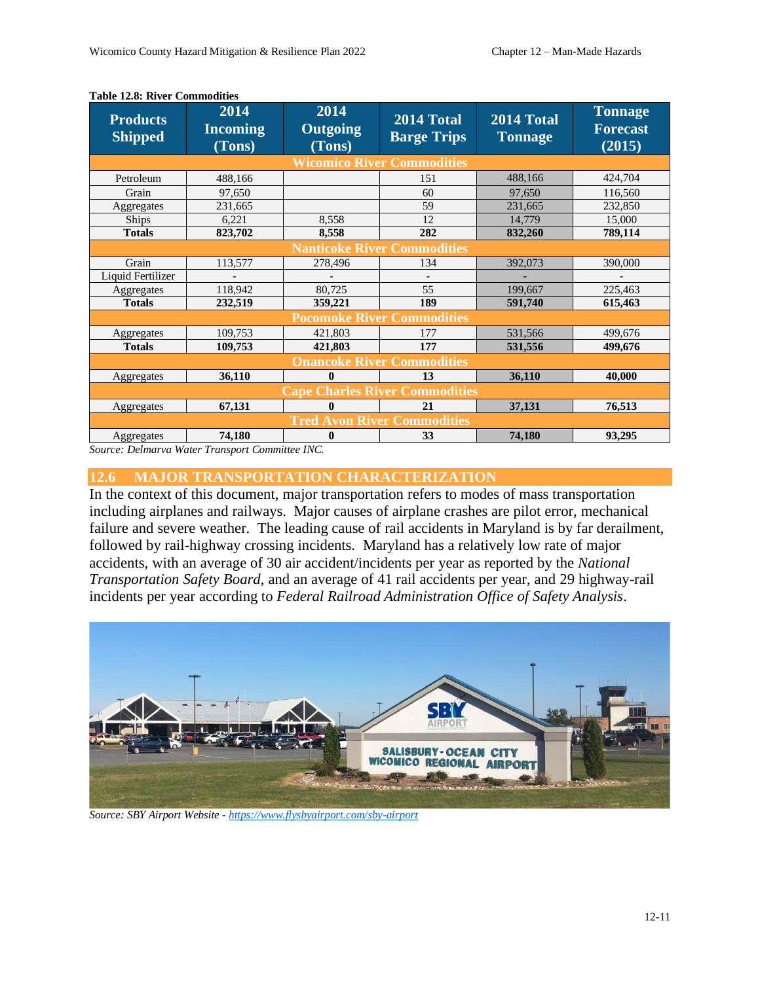| <b>Products</b><br><b>Shipped</b>     | 2014<br><b>Incoming</b><br>(Tons)  | 2014<br>Outgoing<br>(Tons) | 2014 Total<br><b>Barge Trips</b>  | 2014 Total<br><b>Tonnage</b> | <b>Tonnage</b><br><b>Forecast</b><br>(2015) |  |
|---------------------------------------|------------------------------------|----------------------------|-----------------------------------|------------------------------|---------------------------------------------|--|
|                                       |                                    |                            | <b>Wicomico River Commodities</b> |                              |                                             |  |
| Petroleum                             | 488,166                            |                            | 151                               | 488,166                      | 424,704                                     |  |
| Grain                                 | 97,650                             |                            | 60                                | 97,650                       | 116,560                                     |  |
| Aggregates                            | 231,665                            |                            | 59                                | 231,665                      | 232,850                                     |  |
| Ships                                 | 6,221                              | 8,558                      | 12                                | 14,779                       | 15,000                                      |  |
| <b>Totals</b>                         | 823,702                            | 8,558                      | 282                               | 832,260                      | 789,114                                     |  |
|                                       | <b>Nanticoke River Commodities</b> |                            |                                   |                              |                                             |  |
| Grain                                 | 113,577                            | 278,496                    | 134                               | 392,073                      | 390,000                                     |  |
| Liquid Fertilizer                     |                                    |                            |                                   |                              |                                             |  |
| Aggregates                            | 118,942                            | 80,725                     | 55                                | 199,667                      | 225,463                                     |  |
| <b>Totals</b>                         | 232,519                            | 359,221                    | 189                               | 591,740                      | 615,463                                     |  |
|                                       |                                    |                            | <b>Pocomoke River Commodities</b> |                              |                                             |  |
| Aggregates                            | 109,753                            | 421,803                    | 177                               | 531,566                      | 499,676                                     |  |
| <b>Totals</b>                         | 109,753                            | 421,803                    | 177                               | 531,556                      | 499,676                                     |  |
| <b>Onancoke River Commodities</b>     |                                    |                            |                                   |                              |                                             |  |
| Aggregates                            | 36,110                             | $\bf{0}$                   | 13                                | 36,110                       | 40,000                                      |  |
| <b>Cape Charles River Commodities</b> |                                    |                            |                                   |                              |                                             |  |
| Aggregates                            | 67,131                             | 0                          | 21                                | 37,131                       | 76,513                                      |  |
|                                       | <b>Tred Avon River Commodities</b> |                            |                                   |                              |                                             |  |
| Aggregates                            | 74,180                             | 0                          | 33                                | 74,180                       | 93,295                                      |  |

#### **Table 12.8: River Commodities**

*Source: Delmarva Water Transport Committee INC.*

### **12.6 MAJOR TRANSPORTATION CHARACTERIZATION**

In the context of this document, major transportation refers to modes of mass transportation including airplanes and railways. Major causes of airplane crashes are pilot error, mechanical failure and severe weather. The leading cause of rail accidents in Maryland is by far derailment, followed by rail-highway crossing incidents. Maryland has a relatively low rate of major accidents, with an average of 30 air accident/incidents per year as reported by the *National Transportation Safety Board*, and an average of 41 rail accidents per year, and 29 highway-rail incidents per year according to *Federal Railroad Administration Office of Safety Analysis*.



*Source: SBY Airport Website - <https://www.flysbyairport.com/sby-airport>*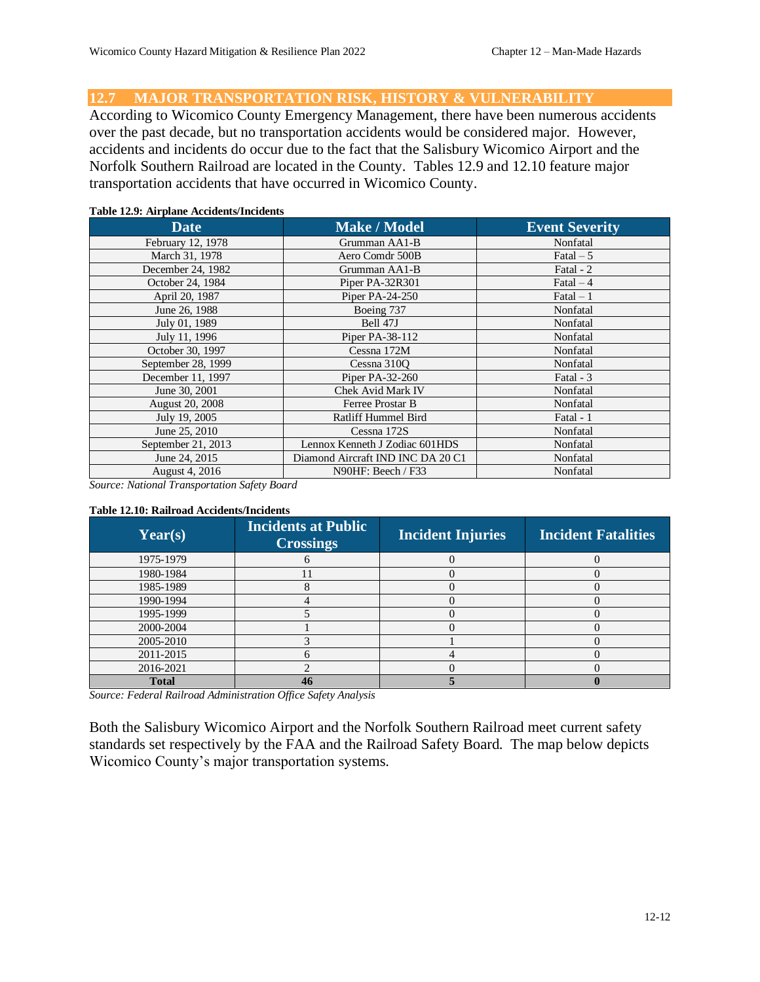**12.7 MAJOR TRANSPORTATION RISK, HISTORY & VULNERABILITY** 

According to Wicomico County Emergency Management, there have been numerous accidents over the past decade, but no transportation accidents would be considered major. However, accidents and incidents do occur due to the fact that the Salisbury Wicomico Airport and the Norfolk Southern Railroad are located in the County. Tables 12.9 and 12.10 feature major transportation accidents that have occurred in Wicomico County.

#### **Table 12.9: Airplane Accidents/Incidents**

| <b>Date</b>            | <b>Make / Model</b>               | <b>Event Severity</b> |
|------------------------|-----------------------------------|-----------------------|
| February 12, 1978      | Grumman AA1-B                     | Nonfatal              |
| March 31, 1978         | Aero Comdr 500B                   | Fatal $-5$            |
| December 24, 1982      | Grumman AA1-B                     | Fatal - 2             |
| October 24, 1984       | Piper PA-32R301                   | $\text{Fatal} - 4$    |
| April 20, 1987         | Piper PA-24-250                   | $\text{Fatal} - 1$    |
| June 26, 1988          | Boeing 737                        | Nonfatal              |
| July 01, 1989          | Bell 47J                          | Nonfatal              |
| July 11, 1996          | Piper PA-38-112                   | Nonfatal              |
| October 30, 1997       | Cessna 172M                       | Nonfatal              |
| September 28, 1999     | Cessna 310Q                       | Nonfatal              |
| December 11, 1997      | Piper PA-32-260                   | Fatal - 3             |
| June 30, 2001          | Chek Avid Mark IV                 | Nonfatal              |
| <b>August 20, 2008</b> | Ferree Prostar B                  | Nonfatal              |
| July 19, 2005          | Ratliff Hummel Bird               | Fatal - 1             |
| June 25, 2010          | Cessna 172S                       | Nonfatal              |
| September 21, 2013     | Lennox Kenneth J Zodiac 601HDS    | Nonfatal              |
| June 24, 2015          | Diamond Aircraft IND INC DA 20 C1 | Nonfatal              |
| August 4, 2016         | N90HF: Beech / F33                | Nonfatal              |

*Source: National Transportation Safety Board*

#### **Table 12.10: Railroad Accidents/Incidents**

| Year(s)      | <b>Incidents at Public</b><br><b>Crossings</b> | <b>Incident Injuries</b> | <b>Incident Fatalities</b> |
|--------------|------------------------------------------------|--------------------------|----------------------------|
| 1975-1979    |                                                |                          |                            |
| 1980-1984    |                                                |                          |                            |
| 1985-1989    |                                                |                          |                            |
| 1990-1994    |                                                |                          |                            |
| 1995-1999    |                                                |                          |                            |
| 2000-2004    |                                                |                          |                            |
| 2005-2010    |                                                |                          |                            |
| 2011-2015    |                                                |                          |                            |
| 2016-2021    |                                                |                          |                            |
| <b>Total</b> |                                                |                          |                            |

*Source: Federal Railroad Administration Office Safety Analysis*

Both the Salisbury Wicomico Airport and the Norfolk Southern Railroad meet current safety standards set respectively by the FAA and the Railroad Safety Board. The map below depicts Wicomico County's major transportation systems.